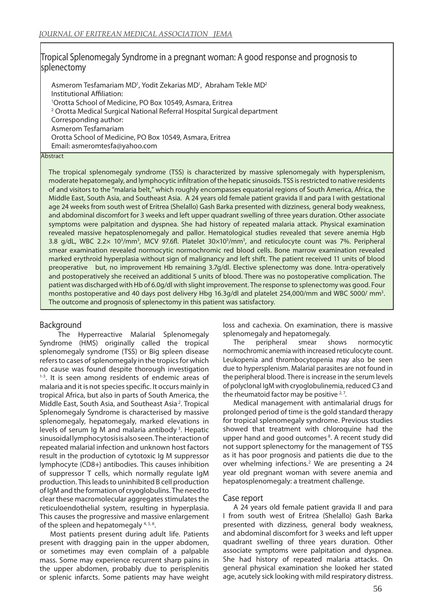# Tropical Splenomegaly Syndrome in a pregnant woman: A good response and prognosis to splenectomy

Asmerom Tesfamariam MD<sup>1</sup>, Yodit Zekarias MD<sup>1</sup>, Abraham Tekle MD<sup>2</sup> Institutional Affiliation: 1 Orotta School of Medicine, PO Box 10549, Asmara, Eritrea 2 Orotta Medical Surgical National Referral Hospital Surgical department Corresponding author: Asmerom Tesfamariam Orotta School of Medicine, PO Box 10549, Asmara, Eritrea Email: asmeromtesfa@yahoo.com

### **Abstract**

The tropical splenomegaly syndrome (TSS) is characterized by massive splenomegaly with hypersplenism, moderate hepatomegaly, and lymphocytic infiltration of the hepatic sinusoids. TSS is restricted to native residents of and visitors to the "malaria belt," which roughly encompasses equatorial regions of South America, Africa, the Middle East, South Asia, and Southeast Asia. A 24 years old female patient gravida II and para I with gestational age 24 weeks from south west of Eritrea (Shelallo) Gash Barka presented with dizziness, general body weakness, and abdominal discomfort for 3 weeks and left upper quadrant swelling of three years duration. Other associate symptoms were palpitation and dyspnea. She had history of repeated malaria attack. Physical examination revealed massive hepatosplenomegaly and pallor. Hematological studies revealed that severe anemia Hgb 3.8 g/dL, WBC 2.2x 10<sup>3</sup>/mm<sup>3</sup>, MCV 97.6fl. Platelet 30×10<sup>3</sup>/mm<sup>3</sup>, and reticulocyte count was 7%. Peripheral smear examination revealed normocytic normochromic red blood cells. Bone marrow examination revealed marked erythroid hyperplasia without sign of malignancy and left shift. The patient received 11 units of blood preoperative but, no improvement Hb remaining 3.7g/dl. Elective splenectomy was done. Intra-operatively and postoperatively she received an additional 5 units of blood. There was no postoperative complication. The patient was discharged with Hb of 6.0g/dl with slight improvement. The response to splenectomy was good. Four months postoperative and 40 days post delivery Hbg 16.3g/dl and platelet 254,000/mm and WBC 5000/mm<sup>3</sup>. The outcome and prognosis of splenectomy in this patient was satisfactory.

# **Background**

 The Hyperreactive Malarial Splenomegaly Syndrome (HMS) originally called the tropical splenomegaly syndrome (TSS) or Big spleen disease refers to cases of splenomegaly in the tropics for which no cause was found despite thorough investigation <sup>1-3</sup>. It is seen among residents of endemic areas of malaria and it is not species specific. It occurs mainly in tropical Africa, but also in parts of South America, the Middle East, South Asia, and Southeast Asia 2. Tropical Splenomegaly Syndrome is characterised by massive splenomegaly, hepatomegaly, marked elevations in levels of serum Ig M and malaria antibody 3. Hepatic sinusoidal lymphocytosis is also seen. The interaction of repeated malarial infection and unknown host factors result in the production of cytotoxic Ig M suppressor lymphocyte (CD8+) antibodies. This causes inhibition of suppressor T cells, which normally regulate IgM production. This leads to uninhibited B cell production of IgM and the formation of cryoglobulins. The need to clear these macromolecular aggregates stimulates the reticuloendothelial system, resulting in hyperplasia. This causes the progressive and massive enlargement of the spleen and hepatomegaly  $4,5,6$ .

Most patients present during adult life. Patients present with dragging pain in the upper abdomen, or sometimes may even complain of a palpable mass. Some may experience recurrent sharp pains in the upper abdomen, probably due to perisplenitis or splenic infarcts. Some patients may have weight loss and cachexia. On examination, there is massive splenomegaly and hepatomegaly.

The peripheral smear shows normocytic normochromic anemia with increased reticulocyte count. Leukopenia and thrombocytopenia may also be seen due to hypersplenism. Malarial parasites are not found in the peripheral blood. There is increase in the serum levels of polyclonal IgM with cryoglobulinemia, reduced C3 and the rheumatoid factor may be positive  $2,7$ .

Medical management with antimalarial drugs for prolonged period of time is the gold standard therapy for tropical splenomegaly syndrome. Previous studies showed that treatment with chloroquine had the upper hand and good outcomes<sup>8</sup>. A recent study did not support splenectomy for the management of TSS as it has poor prognosis and patients die due to the over whelming infections.<sup>2</sup> We are presenting a 24 year old pregnant woman with severe anemia and hepatosplenomegaly: a treatment challenge.

# Case report

A 24 years old female patient gravida II and para I from south west of Eritrea (Shelallo) Gash Barka presented with dizziness, general body weakness, and abdominal discomfort for 3 weeks and left upper quadrant swelling of three years duration. Other associate symptoms were palpitation and dyspnea. She had history of repeated malaria attacks. On general physical examination she looked her stated age, acutely sick looking with mild respiratory distress.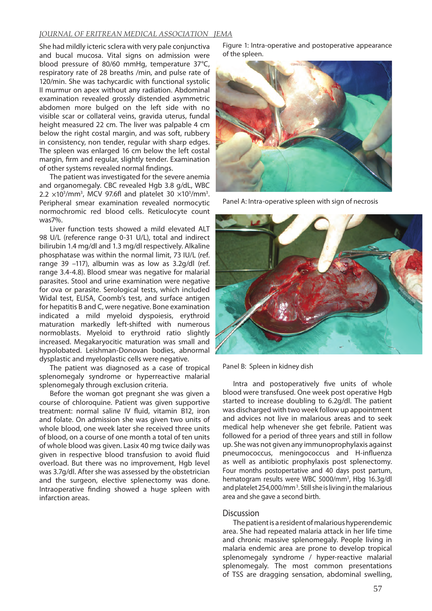# *JOURNAL OF ERITREAN MEDICAL ASSOCIATION JEMA*

She had mildly icteric sclera with very pale conjunctiva and bucal mucosa. Vital signs on admission were blood pressure of 80/60 mmHg, temperature 37°C, respiratory rate of 28 breaths /min, and pulse rate of 120/min. She was tachycardic with functional systolic II murmur on apex without any radiation. Abdominal examination revealed grossly distended asymmetric abdomen more bulged on the left side with no visible scar or collateral veins, gravida uterus, fundal height measured 22 cm. The liver was palpable 4 cm below the right costal margin, and was soft, rubbery in consistency, non tender, regular with sharp edges. The spleen was enlarged 16 cm below the left costal margin, firm and regular, slightly tender. Examination of other systems revealed normal findings.

The patient was investigated for the severe anemia and organomegaly. CBC revealed Hgb 3.8 g/dL, WBC  $2.2 \times 10^{3}$ /mm<sup>3</sup>, MCV 97.6fl and platelet 30  $\times 10^{3}$ /mm<sup>3</sup>. Peripheral smear examination revealed normocytic normochromic red blood cells. Reticulocyte count was7%.

Liver function tests showed a mild elevated ALT 98 U/L (reference range 0-31 U/L), total and indirect bilirubin 1.4 mg/dl and 1.3 mg/dl respectively. Alkaline phosphatase was within the normal limit, 73 IU/L (ref. range 39 –117), albumin was as low as 3.2g/dl (ref. range 3.4-4.8). Blood smear was negative for malarial parasites. Stool and urine examination were negative for ova or parasite. Serological tests, which included Widal test, ELISA, Coomb's test, and surface antigen for hepatitis B and C, were negative. Bone examination indicated a mild myeloid dyspoiesis, erythroid maturation markedly left-shifted with numerous normoblasts. Myeloid to erythroid ratio slightly increased. Megakaryocitic maturation was small and hypolobated. Leishman-Donovan bodies, abnormal dysplastic and myeloplastic cells were negative.

The patient was diagnosed as a case of tropical splenomegaly syndrome or hyperreactive malarial splenomegaly through exclusion criteria.

Before the woman got pregnant she was given a course of chloroquine. Patient was given supportive treatment: normal saline IV fluid, vitamin B12, iron and folate. On admission she was given two units of whole blood, one week later she received three units of blood, on a course of one month a total of ten units of whole blood was given. Lasix 40 mg twice daily was given in respective blood transfusion to avoid fluid overload. But there was no improvement, Hgb level was 3.7g/dl. After she was assessed by the obstetrician and the surgeon, elective splenectomy was done. Intraoperative finding showed a huge spleen with infarction areas.

Figure 1: Intra-operative and postoperative appearance of the spleen.



Panel A: Intra-operative spleen with sign of necrosis



Panel B: Spleen in kidney dish

Intra and postoperatively five units of whole blood were transfused. One week post operative Hgb started to increase doubling to 6.2g/dl. The patient was discharged with two week follow up appointment and advices not live in malarious areas and to seek medical help whenever she get febrile. Patient was followed for a period of three years and still in follow up. She was not given any immunoprophylaxis against pneumococcus, meningococcus and H-influenza as well as antibiotic prophylaxis post splenectomy. Four months postopertative and 40 days post partum, hematogram results were WBC 5000/mm<sup>3</sup>, Hbg 16.3g/dl and platelet 254,000/mm 3. Still she is living in the malarious area and she gave a second birth.

## Discussion

The patient is a resident of malarious hyperendemic area. She had repeated malaria attack in her life time and chronic massive splenomegaly. People living in malaria endemic area are prone to develop tropical splenomegaly syndrome / hyper-reactive malarial splenomegaly. The most common presentations of TSS are dragging sensation, abdominal swelling,